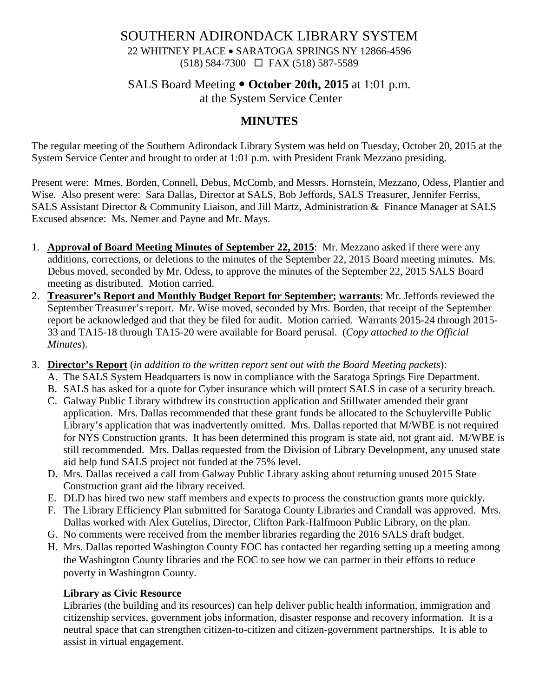## SOUTHERN ADIRONDACK LIBRARY SYSTEM 22 WHITNEY PLACE • SARATOGA SPRINGS NY 12866-4596 (518) 584-7300 FAX (518) 587-5589

# SALS Board Meeting  $\bullet$  October 20th, 2015 at 1:01 p.m.

at the System Service Center

# **MINUTES**

The regular meeting of the Southern Adirondack Library System was held on Tuesday, October 20, 2015 at the System Service Center and brought to order at 1:01 p.m. with President Frank Mezzano presiding.

Present were: Mmes. Borden, Connell, Debus, McComb, and Messrs. Hornstein, Mezzano, Odess, Plantier and Wise. Also present were: Sara Dallas, Director at SALS, Bob Jeffords, SALS Treasurer, Jennifer Ferriss, SALS Assistant Director & Community Liaison, and Jill Martz, Administration & Finance Manager at SALS Excused absence: Ms. Nemer and Payne and Mr. Mays.

- 1. **Approval of Board Meeting Minutes of September 22, 2015**: Mr. Mezzano asked if there were any additions, corrections, or deletions to the minutes of the September 22, 2015 Board meeting minutes. Ms. Debus moved, seconded by Mr. Odess, to approve the minutes of the September 22, 2015 SALS Board meeting as distributed. Motion carried.
- 2. **Treasurer's Report and Monthly Budget Report for September; warrants**: Mr. Jeffords reviewed the September Treasurer's report. Mr. Wise moved, seconded by Mrs. Borden, that receipt of the September report be acknowledged and that they be filed for audit. Motion carried. Warrants 2015-24 through 2015- 33 and TA15-18 through TA15-20 were available for Board perusal. (*Copy attached to the Official Minutes*).
- 3. **Director's Report** (*in addition to the written report sent out with the Board Meeting packets*):
	- A. The SALS System Headquarters is now in compliance with the Saratoga Springs Fire Department.
	- B. SALS has asked for a quote for Cyber insurance which will protect SALS in case of a security breach.
	- C. Galway Public Library withdrew its construction application and Stillwater amended their grant application. Mrs. Dallas recommended that these grant funds be allocated to the Schuylerville Public Library's application that was inadvertently omitted. Mrs. Dallas reported that M/WBE is not required for NYS Construction grants. It has been determined this program is state aid, not grant aid. M/WBE is still recommended. Mrs. Dallas requested from the Division of Library Development, any unused state aid help fund SALS project not funded at the 75% level.
	- D. Mrs. Dallas received a call from Galway Public Library asking about returning unused 2015 State Construction grant aid the library received.
	- E. DLD has hired two new staff members and expects to process the construction grants more quickly.
	- F. The Library Efficiency Plan submitted for Saratoga County Libraries and Crandall was approved. Mrs. Dallas worked with Alex Gutelius, Director, Clifton Park-Halfmoon Public Library, on the plan.
	- G. No comments were received from the member libraries regarding the 2016 SALS draft budget.
	- H. Mrs. Dallas reported Washington County EOC has contacted her regarding setting up a meeting among the Washington County libraries and the EOC to see how we can partner in their efforts to reduce poverty in Washington County.

#### **Library as Civic Resource**

Libraries (the building and its resources) can help deliver public health information, immigration and citizenship services, government jobs information, disaster response and recovery information. It is a neutral space that can strengthen citizen-to-citizen and citizen-government partnerships. It is able to assist in virtual engagement.